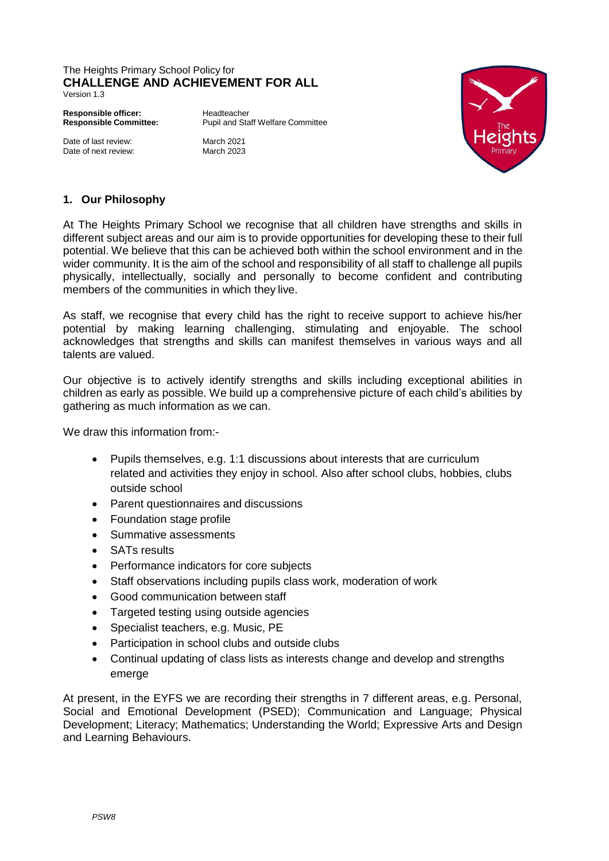## The Heights Primary School Policy for **CHALLENGE AND ACHIEVEMENT FOR ALL**

Version 1.3

**Responsible officer:** Headteacher<br> **Responsible Committee:** Pupil and Sta

**Responsible Committee:** Pupil and Staff Welfare Committee

Date of last review: March 2021<br>Date of next review: March 2023 Date of next review:



## **1. Our Philosophy**

At The Heights Primary School we recognise that all children have strengths and skills in different subject areas and our aim is to provide opportunities for developing these to their full potential. We believe that this can be achieved both within the school environment and in the wider community. It is the aim of the school and responsibility of all staff to challenge all pupils physically, intellectually, socially and personally to become confident and contributing members of the communities in which they live.

As staff, we recognise that every child has the right to receive support to achieve his/her potential by making learning challenging, stimulating and enjoyable. The school acknowledges that strengths and skills can manifest themselves in various ways and all talents are valued.

Our objective is to actively identify strengths and skills including exceptional abilities in children as early as possible. We build up a comprehensive picture of each child's abilities by gathering as much information as we can.

We draw this information from:-

- Pupils themselves, e.g. 1:1 discussions about interests that are curriculum related and activities they enjoy in school. Also after school clubs, hobbies, clubs outside school
- Parent questionnaires and discussions
- Foundation stage profile
- Summative assessments
- SATs results
- Performance indicators for core subjects
- Staff observations including pupils class work, moderation of work
- Good communication between staff
- Targeted testing using outside agencies
- Specialist teachers, e.g. Music, PE
- Participation in school clubs and outside clubs
- Continual updating of class lists as interests change and develop and strengths emerge

At present, in the EYFS we are recording their strengths in 7 different areas, e.g. Personal, Social and Emotional Development (PSED); Communication and Language; Physical Development; Literacy; Mathematics; Understanding the World; Expressive Arts and Design and Learning Behaviours.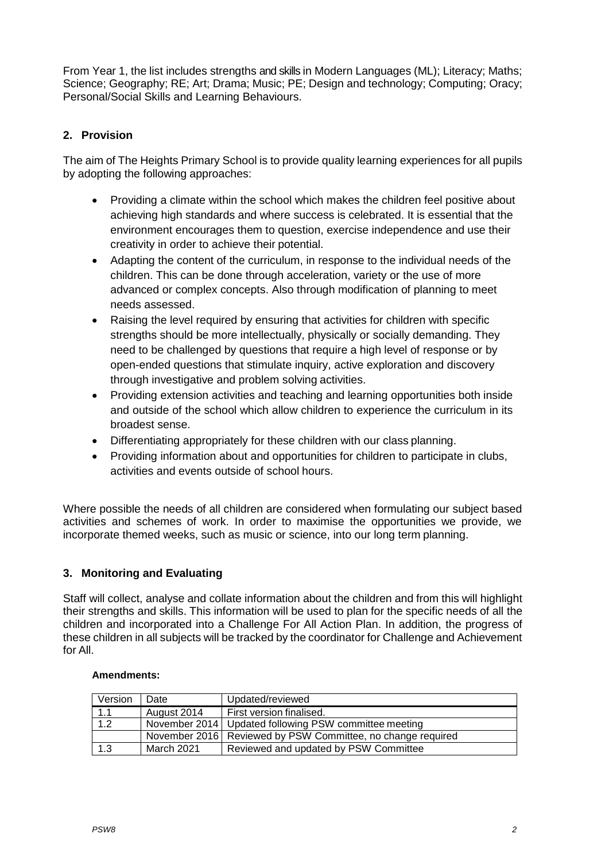From Year 1, the list includes strengths and skills in Modern Languages (ML); Literacy; Maths; Science; Geography; RE; Art; Drama; Music; PE; Design and technology; Computing; Oracy; Personal/Social Skills and Learning Behaviours.

# **2. Provision**

The aim of The Heights Primary School is to provide quality learning experiences for all pupils by adopting the following approaches:

- Providing a climate within the school which makes the children feel positive about achieving high standards and where success is celebrated. It is essential that the environment encourages them to question, exercise independence and use their creativity in order to achieve their potential.
- Adapting the content of the curriculum, in response to the individual needs of the children. This can be done through acceleration, variety or the use of more advanced or complex concepts. Also through modification of planning to meet needs assessed.
- Raising the level required by ensuring that activities for children with specific strengths should be more intellectually, physically or socially demanding. They need to be challenged by questions that require a high level of response or by open-ended questions that stimulate inquiry, active exploration and discovery through investigative and problem solving activities.
- Providing extension activities and teaching and learning opportunities both inside and outside of the school which allow children to experience the curriculum in its broadest sense.
- Differentiating appropriately for these children with our class planning.
- Providing information about and opportunities for children to participate in clubs, activities and events outside of school hours.

Where possible the needs of all children are considered when formulating our subject based activities and schemes of work. In order to maximise the opportunities we provide, we incorporate themed weeks, such as music or science, into our long term planning.

## **3. Monitoring and Evaluating**

Staff will collect, analyse and collate information about the children and from this will highlight their strengths and skills. This information will be used to plan for the specific needs of all the children and incorporated into a Challenge For All Action Plan. In addition, the progress of these children in all subjects will be tracked by the coordinator for Challenge and Achievement for All.

#### **Amendments:**

| Version | Date        | Updated/reviewed                                              |
|---------|-------------|---------------------------------------------------------------|
| 1.1     | August 2014 | First version finalised.                                      |
| 1.2     |             | November 2014   Updated following PSW committee meeting       |
|         |             | November 2016   Reviewed by PSW Committee, no change required |
| 1.3     | March 2021  | Reviewed and updated by PSW Committee                         |